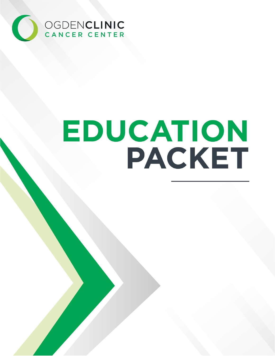

[DOCUMENT SUBTITLE]

[COMPANY NAME] | [Company address]

# EDUCATION PACKET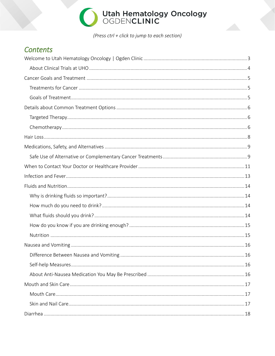(Press ctrl + click to jump to each section)

### **Contents**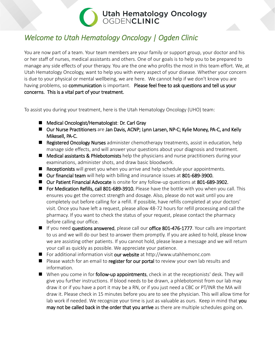## <span id="page-3-0"></span>*Welcome to Utah Hematology Oncology | Ogden Clinic*

You are now part of a team. Your team members are your family or support group, your doctor and his or her staff of nurses, medical assistants and others. One of our goals is to help you to be prepared to manage any side effects of your therapy. You are the one who profits the most in this team effort. We, at Utah Hematology Oncology, want to help you with every aspect of your disease. Whether your concern is due to your physical or mental wellbeing, we are here. We cannot help if we don't know you are having problems, so communication is important. Please feel free to ask questions and tell us your concerns. This is a vital part of your treatment.

To assist you during your treatment, here is the Utah Hematology Oncology (UHO) team:

- Medical Oncologist/Hematologist: Dr. Carl Gray
- Our Nurse Practitioners are Jan Davis, ACNP; Lynn Larsen, NP-C; Kylie Money, PA-C, and Kelly Mikesell, PA-C.
- **Registered Oncology Nurses** administer chemotherapy treatments, assist in education, help manage side effects, and will answer your questions about your diagnosis and treatment.
- **Medical assistants & Phlebotomists** help the physicians and nurse practitioners during your examinations, administer shots, and draw basic bloodwork.
- Receptionists will greet you when you arrive and help schedule your appointments.
- Our financial team will help with billing and insurance issues at 801-689-3900.
- Our Patient Financial Advocate is onsite for any follow-up questions at 801-689-3902.
- **For Medication Refills, call 801-689-3910.** Please have the bottle with you when you call. This ensures you get the correct strength and dosage. Also, please do not wait until you are completely out before calling for a refill. If possible, have refills completed at your doctors' visit. Once you have left a request, please allow 48-72 hours for refill processing and call the pharmacy. If you want to check the status of your request, please contact the pharmacy before calling our office.
- If you need questions answered, please call our office 801-476-1777. Your calls are important to us and we will do our best to answer them promptly. If you are asked to hold, please know we are assisting other patients. If you cannot hold, please leave a message and we will return your call as quickly as possible. We appreciate your patience.
- For additional information visit our website a[t http://www.utahhemonc.com](http://www.utahhemonc.com/)
- Please watch for an email to register for our portal to review your own lab results and information.
- When you come in for follow-up appointments, check in at the receptionists' desk. They will give you further instructions. If blood needs to be drawn, a phlebotomist from our lab may draw it or if you have a port it may be a RN, or if you just need a CBC or PT/INR the MA will draw it. Please check in 15 minutes before you are to see the physician. This will allow time for lab work if needed. We recognize your time is just as valuable as ours. Keep in mind that you may not be called back in the order that you arrive as there are multiple schedules going on.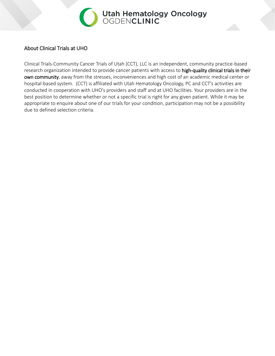

#### <span id="page-4-0"></span>About Clinical Trials at UHO

Clinical Trials-Community Cancer Trials of Utah (CCT), LLC is an independent, community practice-based research organization intended to provide cancer patients with access to high-quality clinical trials in their own community, away from the stresses, inconveniences and high cost of an academic medical center or hospital-based system. (CCT) is affiliated with Utah Hematology Oncology, PC and CCT's activities are conducted in cooperation with UHO's providers and staff and at UHO facilities. Your providers are in the best position to determine whether or not a specific trial is right for any given patient. While it may be appropriate to enquire about one of our trials for your condition, participation may not be a possibility due to defined selection criteria.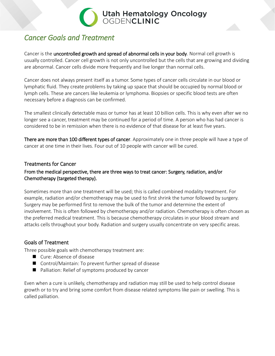### <span id="page-5-0"></span>*Cancer Goals and Treatment*

Cancer is the uncontrolled growth and spread of abnormal cells in your body. Normal cell growth is usually controlled. Cancer cell growth is not only uncontrolled but the cells that are growing and dividing are abnormal. Cancer cells divide more frequently and live longer than normal cells.

Cancer does not always present itself as a tumor. Some types of cancer cells circulate in our blood or lymphatic fluid. They create problems by taking up space that should be occupied by normal blood or lymph cells. These are cancers like leukemia or lymphoma. Biopsies or specific blood tests are often necessary before a diagnosis can be confirmed.

The smallest clinically detectable mass or tumor has at least 10 billion cells. This is why even after we no longer see a cancer, treatment may be continued for a period of time. A person who has had cancer is considered to be in remission when there is no evidence of that disease for at least five years.

There are more than 100 different types of cancer. Approximately one in three people will have a type of cancer at one time in their lives. Four out of 10 people with cancer will be cured.

#### <span id="page-5-1"></span>Treatments for Cancer

#### From the medical perspective, there are three ways to treat cancer: Surgery, radiation, and/or Chemotherapy (targeted therapy).

Sometimes more than one treatment will be used; this is called combined modality treatment. For example, radiation and/or chemotherapy may be used to first shrink the tumor followed by surgery. Surgery may be performed first to remove the bulk of the tumor and determine the extent of involvement. This is often followed by chemotherapy and/or radiation. Chemotherapy is often chosen as the preferred medical treatment. This is because chemotherapy circulates in your blood stream and attacks cells throughout your body. Radiation and surgery usually concentrate on very specific areas.

#### <span id="page-5-2"></span>Goals of Treatment

Three possible goals with chemotherapy treatment are:

- Cure: Absence of disease
- Control/Maintain: To prevent further spread of disease
- Palliation: Relief of symptoms produced by cancer

Even when a cure is unlikely, chemotherapy and radiation may still be used to help control disease growth or to try and bring some comfort from disease related symptoms like pain or swelling. This is called palliation.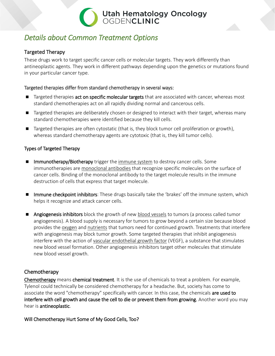## <span id="page-6-0"></span>*Details about Common Treatment Options*

#### <span id="page-6-1"></span>Targeted Therapy

These drugs work to target specific cancer cells or molecular targets. They work differently than antineoplastic agents. They work in different pathways depending upon the genetics or mutations found in your particular cancer type.

**Utah Hematology Oncology**<br>OGDENCLINIC

#### Targeted therapies differ from standard [chemotherapy](https://www.cancer.gov/Common/PopUps/popDefinition.aspx?id=CDR0000045214&version=Patient&language=English) in several ways:

- **Targeted therapies act on specific molecular targets** that are associated with cancer, whereas most standard chemotherapies act on all rapidly dividing normal and cancerous cells.
- Targeted therapies are deliberately chosen or designed to interact with their target, whereas many standard chemotherapies were identified because they kill cells.
- **Targeted therapies are often [cytostatic](https://www.cancer.gov/Common/PopUps/popDefinition.aspx?id=CDR0000756173&version=Patient&language=English) (that is, they block tumor cell [proliferation](https://www.cancer.gov/Common/PopUps/popDefinition.aspx?id=CDR0000046479&version=Patient&language=English) or growth),** whereas standard chemotherapy agents are [cytotoxic](https://www.cancer.gov/Common/PopUps/popDefinition.aspx?id=CDR0000044020&version=Patient&language=English) (that is, they kill tumor cells).

#### Types of Targeted Therapy

- **IMMUNOTHEREAPY/Biotherapy trigger the [immune](https://www.cancer.gov/Common/PopUps/popDefinition.aspx?id=CDR0000046356&version=Patient&language=English) system to destroy cancer cells. Some** immunotherapies are [monoclonal](https://www.cancer.gov/Common/PopUps/popDefinition.aspx?id=CDR0000046066&version=Patient&language=English) antibodies that recognize specific molecules on the surface of cancer cells. Binding of the monoclonal antibody to the target molecule results in the immune destruction of cells that express that target molecule.
- **Immune checkpoint inhibitors**: These drugs basically take the 'brakes' off the immune system, which helps it recognize and attack cancer cells.
- **Angiogenesis inhibitors** block the growth of new blood [vessels](https://www.cancer.gov/Common/PopUps/popDefinition.aspx?id=CDR0000045020&version=Patient&language=English) to tumors (a process called tumor angiogenesis). A blood supply is necessary for tumors to grow beyond a certain size because blood provides the [oxygen](https://www.cancer.gov/Common/PopUps/popDefinition.aspx?id=CDR0000538149&version=Patient&language=English) and [nutrients](https://www.cancer.gov/Common/PopUps/popDefinition.aspx?id=CDR0000044697&version=Patient&language=English) that tumors need for continued growth. Treatments that interfere with angiogenesis may block tumor growth. Some targeted therapies that inhibit angiogenesis interfere with the action of vascular [endothelial](https://www.cancer.gov/Common/PopUps/popDefinition.aspx?id=CDR0000044222&version=Patient&language=English) growth factor (VEGF), a substance that stimulates new blood vessel formation. Other angiogenesis inhibitors target other molecules that stimulate new blood vessel growth.

#### <span id="page-6-2"></span>**Chemotherapy**

Chemotherapy means chemical treatment. It is the use of chemicals to treat a problem. For example, Tylenol could technically be considered chemotherapy for a headache. But, society has come to associate the word "chemotherapy" specifically with cancer. In this case, the chemicals are used to interfere with cell growth and cause the cell to die or prevent them from growing. Another word you may hear is antineoplastic.

Will Chemotherapy Hurt Some of My Good Cells, Too?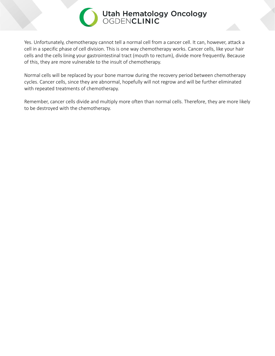Yes. Unfortunately, chemotherapy cannot tell a normal cell from a cancer cell. It can, however, attack a cell in a specific phase of cell division. This is one way chemotherapy works. Cancer cells, like your hair cells and the cells lining your gastrointestinal tract (mouth to rectum), divide more frequently. Because of this, they are more vulnerable to the insult of chemotherapy.

Normal cells will be replaced by your bone marrow during the recovery period between chemotherapy cycles. Cancer cells, since they are abnormal, hopefully will not regrow and will be further eliminated with repeated treatments of chemotherapy.

Remember, cancer cells divide and multiply more often than normal cells. Therefore, they are more likely to be destroyed with the chemotherapy.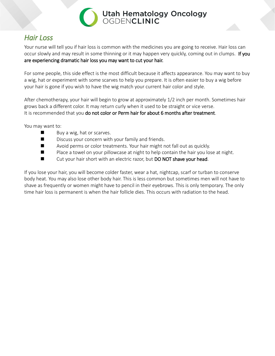

### <span id="page-8-0"></span>*Hair Loss*

Your nurse will tell you if hair loss is common with the medicines you are going to receive. Hair loss can occur slowly and may result in some thinning or it may happen very quickly, coming out in clumps. If you are experiencing dramatic hair loss you may want to cut your hair.

For some people, this side effect is the most difficult because it affects appearance. You may want to buy a wig, hat or experiment with some scarves to help you prepare. It is often easier to buy a wig before your hair is gone if you wish to have the wig match your current hair color and style.

After chemotherapy, your hair will begin to grow at approximately 1/2 inch per month. Sometimes hair grows back a different color. It may return curly when it used to be straight or vice verse. It is recommended that you do not color or Perm hair for about 6 months after treatment.

You may want to:

- Buy a wig, hat or scarves.
- Discuss your concern with your family and friends.
- Avoid perms or color treatments. Your hair might not fall out as quickly.
- $\blacksquare$  Place a towel on your pillowcase at night to help contain the hair you lose at night.
- Cut your hair short with an electric razor, but DO NOT shave your head.

If you lose your hair, you will become colder faster, wear a hat, nightcap, scarf or turban to conserve body heat. You may also lose other body hair. This is less common but sometimes men will not have to shave as frequently or women might have to pencil in their eyebrows. This is only temporary. The only time hair loss is permanent is when the hair follicle dies. This occurs with radiation to the head.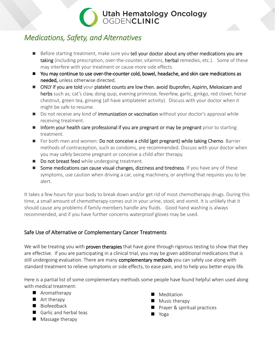## <span id="page-9-0"></span>*Medications, Safety, and Alternatives*

- Before starting treatment, make sure you tell your doctor about any other medications you are taking (including prescription, over-the-counter, vitamins, herbal remedies, etc.). Some of these may interfere with your treatment or cause more side effects.
- You may continue to use over-the-counter cold, bowel, headache, and skin care medications as needed, unless otherwise directed.
- ONLY If you are told your platelet counts are low then, avoid Ibuprofen, Aspirin, Meloxicam and herbs such as; cat's claw, dong quqi, evening primrose, feverfew, garlic, ginkgo, red clover, horse chestnut, green tea, ginseng (all have antiplatelet activity). Discuss with your doctor when it might be safe to resume.
- Do not receive any kind of immunization or vaccination without your doctor's approval while receiving treatment.
- Inform your health care professional if you are pregnant or may be pregnant prior to starting treatment.
- For both men and women: Do not conceive a child (get pregnant) while taking Chemo. Barrier methods of contraception, such as condoms, are recommended. Discuss with your doctor when you may safely become pregnant or conceive a child after therapy.
- Do not breast feed while undergoing treatment.
- Some medications can cause visual changes, dizziness and tiredness. If you have any of these symptoms, use caution when driving a car, using machinery, or anything that requires you to be alert.

It takes a few hours for your body to break down and/or get rid of most chemotherapy drugs. During this time, a small amount of chemotherapy comes out in your urine, stool, and vomit. It is unlikely that it should cause any problems if family members handle any fluids. Good hand washing is always recommended, and if you have further concerns waterproof gloves may be used.

#### <span id="page-9-1"></span>Safe Use of Alternative or Complementary Cancer Treatments

We will be treating you with **proven therapies** that have gone through rigorous testing to show that they are effective. If you are participating in a clinical trial, you may be given additional medications that is still undergoing evaluation. There are many complementary methods you can safely use along with standard treatment to relieve symptoms or side effects, to ease pain, and to help you better enjoy life.

Here is a partial list of some complementary methods some people have found helpful when used along with medical treatment:

- **Aromatherapy**
- **Art therapy**
- Biofeedback
- Garlic and herbal teas
- **Massage therapy**
- **Meditation**
- **Music therapy**
- **Perayer & spiritual practices**
- Yoga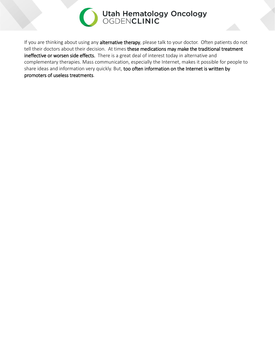

If you are thinking about using any alternative therapy, please talk to your doctor. Often patients do not tell their doctors about their decision. At times these medications may make the traditional treatment ineffective or worsen side effects. There is a great deal of interest today in alternative and complementary therapies. Mass communication, especially the Internet, makes it possible for people to share ideas and information very quickly. But, too often information on the Internet is written by promoters of useless treatments.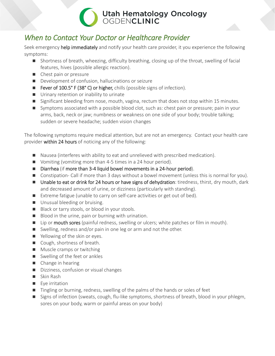### <span id="page-11-0"></span>*When to Contact Your Doctor or Healthcare Provider*

Seek emergency help immediately and notify your health care provider, it you experience the following symptoms:

- Shortness of breath, wheezing, difficulty breathing, closing up of the throat, swelling of facial features, hives (possible allergic reaction).
- Chest pain or pressure
- Development of confusion, hallucinations or seizure
- Fever of 100.5° F (38° C) or higher, chills (possible signs of infection).
- **Urinary retention or inability to urinate**
- Significant bleeding from nose, mouth, vagina, rectum that does not stop within 15 minutes.
- Symptoms associated with a possible blood clot, such as: chest pain or pressure; pain in your arms, back, neck or jaw; numbness or weakness on one side of your body; trouble talking; sudden or severe headache; sudden vision changes

The following symptoms require medical attention, but are not an emergency. Contact your health care provider within 24 hours of noticing any of the following:

- Nausea (interferes with ability to eat and unrelieved with prescribed medication).
- Vomiting (vomiting more than 4-5 times in a 24 hour period).
- Diarrhea (if more than 3-4 liquid bowel movements in a 24-hour period).
- Constipation- Call if more than 3 days without a bowel movement (unless this is normal for you).
- Unable to eat or drink for 24 hours or have signs of dehydration: tiredness, thirst, dry mouth, dark and decreased amount of urine, or dizziness (particularly with standing).
- Extreme fatigue (unable to carry on self-care activities or get out of bed).
- **Unusual bleeding or bruising.**
- Black or tarry stools, or blood in your stools.
- Blood in the urine, pain or burning with urination.
- Lip or mouth sores (painful redness, swelling or ulcers; white patches or film in mouth).
- Swelling, redness and/or pain in one leg or arm and not the other.
- Yellowing of the skin or eyes.
- Cough, shortness of breath.
- **Muscle cramps or twitching**
- Swelling of the feet or ankles
- Change in hearing
- Dizziness, confusion or visual changes
- Skin Rash
- $\blacksquare$  Eye irritation
- Tingling or burning, redness, swelling of the palms of the hands or soles of feet
- Signs of infection (sweats, cough, flu-like symptoms, shortness of breath, blood in your phlegm, sores on your body, warm or painful areas on your body)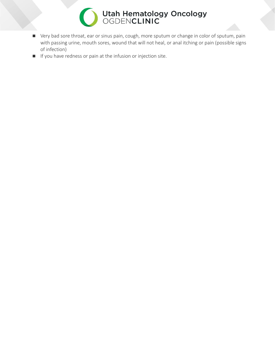

- Very bad sore throat, ear or sinus pain, cough, more sputum or change in color of sputum, pain with passing urine, mouth sores, wound that will not heal, or anal itching or pain (possible signs of infection)
- If you have redness or pain at the infusion or injection site.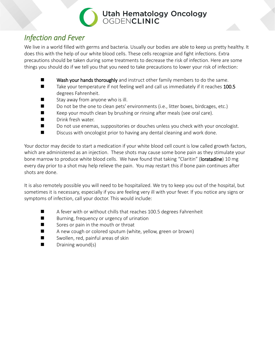### <span id="page-13-0"></span>*Infection and Fever*

We live in a world filled with germs and bacteria. Usually our bodies are able to keep us pretty healthy. It does this with the help of our white blood cells. These cells recognize and fight infections. Extra precautions should be taken during some treatments to decrease the risk of infection. Here are some things you should do if we tell you that you need to take precautions to lower your risk of infection:

- **Now Wash your hands thoroughly** and instruct other family members to do the same.
- $\blacksquare$  Take your temperature if not feeling well and call us immediately if it reaches 100.5 degrees Fahrenheit.
- $\blacksquare$  Stay away from anyone who is ill.
- $\blacksquare$  Do not be the one to clean pets' environments (i.e., litter boxes, birdcages, etc.)
- $\blacksquare$  Keep your mouth clean by brushing or rinsing after meals (see oral care).
- **Drink fresh water.**
- Do not use enemas, suppositories or douches unless you check with your oncologist.
- Discuss with oncologist prior to having any dental cleaning and work done.

Your doctor may decide to start a medication if your white blood cell count is low called growth factors, which are administered as an injection. These shots may cause some bone pain as they stimulate your bone marrow to produce white blood cells. We have found that taking "Claritin" (loratadine) 10 mg every day prior to a shot may help relieve the pain. You may restart this if bone pain continues after shots are done.

It is also remotely possible you will need to be hospitalized. We try to keep you out of the hospital, but sometimes it is necessary, especially if you are feeling very ill with your fever. If you notice any signs or symptoms of infection, call your doctor. This would include:

- A fever with or without chills that reaches 100.5 degrees Fahrenheit
- **Burning, frequency or urgency of urination**
- Sores or pain in the mouth or throat
- A new cough or colored sputum (white, yellow, green or brown)
- $\blacksquare$  Swollen, red, painful areas of skin
- $\blacksquare$  Draining wound(s)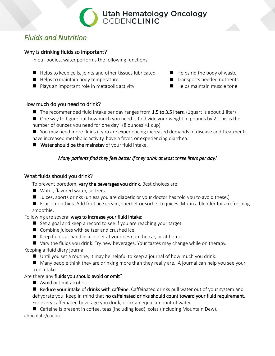## <span id="page-14-0"></span>*Fluids and Nutrition*

#### <span id="page-14-1"></span>Why is drinking fluids so important?

In our bodies, water performs the following functions:

- $\blacksquare$  Helps to keep cells, joints and other tissues lubricated  $\blacksquare$  Helps rid the body of waste
- $\blacksquare$  Helps to maintain body temperature  $\blacksquare$  Transports needed nutrients
- **Plays an important role in metabolic activity**  $\blacksquare$  **Helps maintain muscle tone**
- 
- -

#### <span id="page-14-2"></span>How much do you need to drink?

- The recommended fluid intake per day ranges from 1.5 to 3.5 liters. (1 quart is about 1 liter)
- One way to figure out how much you need is to divide your weight in pounds by 2. This is the number of ounces you need for one day. (8 ounces =1 cup)

■ You may need more fluids if you are experiencing increased demands of disease and treatment; have increased metabolic activity, have a fever, or experiencing diarrhea.

 $\blacksquare$  Water should be the mainstay of your fluid intake.

#### *Many patients find they feel better if they drink at least three liters per day!*

#### <span id="page-14-3"></span>What fluids should you drink?

To prevent boredom, vary the beverages you drink. Best choices are:

- Water, flavored water, seltzers.
- Juices, sports drinks (unless you are diabetic or your doctor has told you to avoid these.)

■ Fruit smoothies. Add fruit, ice cream, sherbet or sorbet to juices. Mix in a blender for a refreshing smoothie.

#### Following are several ways to increase your fluid intake:

- Set a goal and keep a record to see if you are reaching your target.
- Combine juices with seltzer and crushed ice.
- $\blacksquare$  Keep fluids at hand in a cooler at your desk, in the car, or at home.
- Vary the fluids you drink. Try new beverages. Your tastes may change while on therapy.

#### Keeping a fluid diary journal

Until you set a routine, it may be helpful to keep a journal of how much you drink.

 Many people think they are drinking more than they really are. A journal can help you see your true intake.

#### Are there any fluids you should avoid or omit?

Avoid or limit alcohol.

Reduce your intake of drinks with caffeine. Caffeinated drinks pull water out of your system and dehydrate you. Keep in mind that no caffeinated drinks should count toward your fluid requirement. For every caffeinated beverage you drink, drink an equal amount of water.

■ Caffeine is present in coffee, teas (including iced), colas (including Mountain Dew), chocolate/cocoa.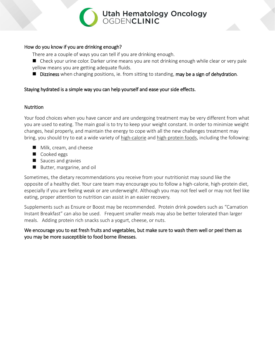

#### <span id="page-15-0"></span>How do you know if you are drinking enough?

There are a couple of ways you can tell if you are drinking enough.

- Check your urine color. Darker urine means you are not drinking enough while clear or very pale yellow means you are getting adequate fluids.
- Dizziness when changing positions, ie. from sitting to standing, may be a sign of dehydration.

#### Staying hydrated is a simple way you can help yourself and ease your side effects.

#### <span id="page-15-1"></span>**Nutrition**

Your food choices when you have cancer and are undergoing treatment may be very different from what you are used to eating. The main goal is to try to keep your weight constant. In order to minimize weight changes, heal properly, and maintain the energy to cope with all the new challenges treatment may bring, you should try to eat a wide variety of [high-calorie](https://stanfordhealthcare.org/medical-clinics/cancer-nutrition-services/during-cancer-treatment/high-calorie-snacks.html) and [high-protein foods,](https://stanfordhealthcare.org/medical-clinics/cancer-nutrition-services/during-cancer-treatment/high-protein-foods.html) including the following:

- **Milk, cream, and cheese**
- Cooked eggs
- Sauces and gravies
- Butter, margarine, and oil

Sometimes, the dietary recommendations you receive from your nutritionist may sound like the opposite of a healthy diet. Your care team may encourage you to follow a high-calorie, high-protein diet, especially if you are feeling weak or are underweight. Although you may not feel well or may not feel like eating, proper attention to nutrition can assist in an easier recovery.

Supplements such as Ensure or Boost may be recommended. Protein drink powders such as "Carnation Instant Breakfast" can also be used. Frequent smaller meals may also be better tolerated than larger meals. Adding protein rich snacks such a yogurt, cheese, or nuts.

We encourage you to eat fresh fruits and vegetables, but make sure to wash them well or peel them as you may be more susceptible to food borne illnesses.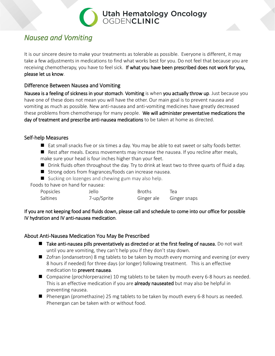### <span id="page-16-0"></span>*Nausea and Vomiting*

It is our sincere desire to make your treatments as tolerable as possible. Everyone is different, it may take a few adjustments in medications to find what works best for you. Do not feel that because you are receiving chemotherapy, you have to feel sick. If what you have been prescribed does not work for you, please let us know.

#### <span id="page-16-1"></span>Difference Between Nausea and Vomiting

Nausea is a feeling of sickness in your stomach. Vomiting is when you actually throw up. Just because you have one of these does not mean you will have the other. Our main goal is to prevent nausea and vomiting as much as possible. New anti-nausea and anti-vomiting medicines have greatly decreased these problems from chemotherapy for many people. We will administer preventative medications the day of treatment and prescribe anti-nausea medications to be taken at home as directed.

#### <span id="page-16-2"></span>Self-help Measures

- Eat small snacks five or six times a day. You may be able to eat sweet or salty foods better.
- $\blacksquare$  Rest after meals. Excess movements may increase the nausea. If you recline after meals, make sure your head is four inches higher than your feet.
- Drink fluids often throughout the day. Try to drink at least two to three quarts of fluid a day.
- $\blacksquare$  Strong odors from fragrances/foods can increase nausea.
- Sucking on lozenges and chewing gum may also help.

Foods to have on hand for nausea:

| Popsicles | Jello       | <b>Broths</b> | Tea          |
|-----------|-------------|---------------|--------------|
| Saltines  | 7-up/Sprite | Ginger ale    | Ginger snaps |

If you are not keeping food and fluids down, please call and schedule to come into our office for possible IV hydration and IV anti-nausea medication.

#### <span id="page-16-3"></span>About Anti-Nausea Medication You May Be Prescribed

- Take anti-nausea pills preventatively as directed or at the first feeling of nausea. Do not wait until you are vomiting, they can't help you if they don't stay down.
- Zofran (ondansetron) 8 mg tablets to be taken by mouth every morning and evening (or every 8 hours if needed) for three days (or longer) following treatment. This is an effective medication to prevent nausea.
- Compazine (prochlorperazine) 10 mg tablets to be taken by mouth every 6-8 hours as needed. This is an effective medication if you are **already nauseated** but may also be helpful in preventing nausea.
- Phenergan (promethazine) 25 mg tablets to be taken by mouth every 6-8 hours as needed. Phenergan can be taken with or without food.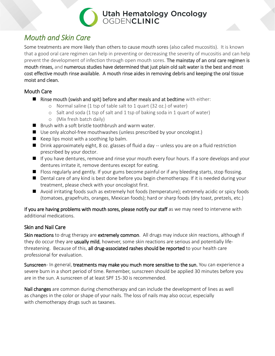### <span id="page-17-0"></span>*Mouth and Skin Care*

Some treatments are more likely than others to cause mouth sores (also called mucositis). It is known that a good oral care regimen can help in preventing or decreasing the severity of mucositis and can help prevent the development of infection through open mouth sores. The mainstay of an oral care regimen is mouth rinses, and numerous studies have determined that just plain old salt water is the best and most cost effective mouth rinse available. A mouth rinse aides in removing debris and keeping the oral tissue moist and clean.

#### <span id="page-17-1"></span>Mouth Care

- $\blacksquare$  Rinse mouth (swish and spit) before and after meals and at bedtime with either:
	- o Normal saline (1 tsp of table salt to 1 quart (32 oz.) of water)
	- o Salt and soda (1 tsp of salt and 1 tsp of baking soda in 1 quart of water)
	- o (Mix fresh batch daily)
- $\blacksquare$  Brush with a soft bristle toothbrush and warm water.
- Use only alcohol-free mouthwashes (unless prescribed by your oncologist.)
- $\blacksquare$  Keep lips moist with a soothing lip balm.
- Drink approximately eight, 8 oz. glasses of fluid a day -- unless you are on a fluid restriction prescribed by your doctor.
- If you have dentures, remove and rinse your mouth every four hours. If a sore develops and your dentures irritate it, remove dentures except for eating.
- Floss regularly and gently. If your gums become painful or if any bleeding starts, stop flossing.
- Dental care of any kind is best done before you begin chemotherapy. If it is needed during your treatment, please check with your oncologist first.
- Avoid irritating foods such as extremely hot foods (temperature); extremely acidic or spicy foods (tomatoes, grapefruits, oranges, Mexican foods); hard or sharp foods (dry toast, pretzels, etc.)

If you are having problems with mouth sores, please notify our staff as we may need to intervene with additional medications.

#### <span id="page-17-2"></span>Skin and Nail Care

Skin reactions to drug therapy are extremely common. All drugs may induce skin reactions, although if they do occur they are **usually mild**, however, some skin reactions are serious and potentially lifethreatening. Because of this, all drug-associated rashes should be reported to your health care professional for evaluation.

Sunscreen- In general, treatments may make you much more sensitive to the sun. You can experience a severe burn in a short period of time. Remember, sunscreen should be applied 30 minutes before you are in the sun. A sunscreen of at least SPF 15-30 is recommended.

Nail changes are common during chemotherapy and can include the development of lines as well as changes in the color or shape of your nails. The loss of nails may also occur, especially with chemotherapy drugs such as taxanes.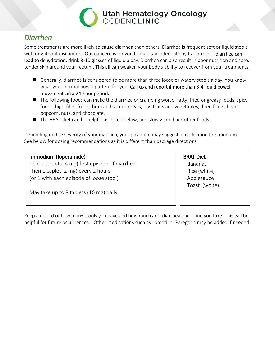

### <span id="page-18-0"></span>*Diarrhea*

Some treatments are more likely to cause diarrhea than others. Diarrhea is frequent soft or liquid stools with or without discomfort. Our concern is for you to maintain adequate hydration since **diarrhea can** lead to dehydration, drink 8-10 glasses of liquid a day. Diarrhea can also result in poor nutrition and sore, tender skin around your rectum. This all can weaken your body's ability to recover from your treatments.

- Generally, diarrhea is considered to be more than three loose or watery stools a day. You know what your normal bowel pattern for you. Call us and report if more than 3-4 liquid bowel movements in a 24-hour period.
- The following foods can make the diarrhea or cramping worse: fatty, fried or greasy foods, spicy foods, high-fiber foods, bran and some cereals, raw fruits and vegetables, dried fruits, beans, popcorn, nuts, and chocolate.
- The BRAT diet can be helpful as noted below, and slowly add back other foods.

Depending on the severity of your diarrhea, your physician may suggest a medication like Imodium. See below for dosing recommendations as it is different than package directions.

#### Immodium (loperamide):

Take 2 caplets (4 mg) first episode of diarrhea. Then 1 caplet (2 mg) every 2 hours (or 1 with each episode of loose stool)

May take up to 8 tablets (16 mg) daily

BRAT Diet-

**Bananas**  Rice (white) **Applesauce** Toast (white)

Keep a record of how many stools you have and how much anti-diarrheal medicine you take. This will be helpful for future occurrences. Other medications such as Lomotil or Paregoric may be added if needed.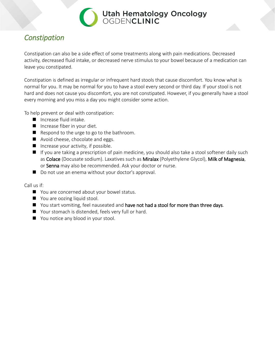

### <span id="page-19-0"></span>*Constipation*

Constipation can also be a side effect of some treatments along with pain medications. Decreased activity, decreased fluid intake, or decreased nerve stimulus to your bowel because of a medication can leave you constipated.

Constipation is defined as irregular or infrequent hard stools that cause discomfort. You know what is normal for you. It may be normal for you to have a stool every second or third day. If your stool is not hard and does not cause you discomfort, you are not constipated. However, if you generally have a stool every morning and you miss a day you might consider some action.

To help prevent or deal with constipation:

- **Increase fluid intake.**
- Increase fiber in your diet.
- $\blacksquare$  Respond to the urge to go to the bathroom.
- Avoid cheese, chocolate and eggs.
- $\blacksquare$  Increase your activity, if possible.
- If you are taking a prescription of pain medicine, you should also take a stool softener daily such as Colace (Docusate sodium). Laxatives such as Miralax (Polyethylene Glycol), Milk of Magnesia, or Senna may also be recommended. Ask your doctor or nurse.
- Do not use an enema without your doctor's approval.

Call us if:

- You are concerned about your bowel status.
- You are oozing liquid stool.
- You start vomiting, feel nauseated and have not had a stool for more than three days.
- Your stomach is distended, feels very full or hard.
- You notice any blood in your stool.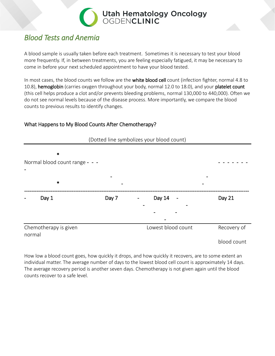

### <span id="page-20-0"></span>*Blood Tests and Anemia*

A blood sample is usually taken before each treatment. Sometimes it is necessary to test your blood more frequently. If, in between treatments, you are feeling especially fatigued, it may be necessary to come in before your next scheduled appointment to have your blood tested.

In most cases, the blood counts we follow are the white blood cell count (infection fighter, normal 4.8 to 10.8), hemoglobin (carries oxygen throughout your body, normal 12.0 to 18.0), and your platelet count (this cell helps produce a clot and/or prevents bleeding problems, normal 130,000 to 440,000). Often we do not see normal levels because of the disease process. More importantly, we compare the blood counts to previous results to identify changes.

#### <span id="page-20-1"></span>What Happens to My Blood Counts After Chemotherapy?



How low a blood count goes, how quickly it drops, and how quickly it recovers, are to some extent an individual matter. The average number of days to the lowest blood cell count is approximately 14 days. The average recovery period is another seven days. Chemotherapy is not given again until the blood counts recover to a safe level.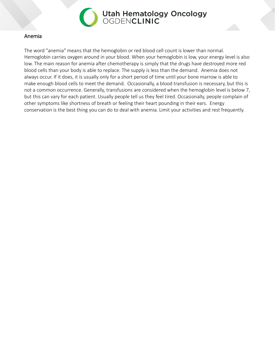

#### <span id="page-21-0"></span>Anemia

The word "anemia" means that the hemoglobin or red blood cell count is lower than normal. Hemoglobin carries oxygen around in your blood. When your hemoglobin is low, your energy level is also low. The main reason for anemia after chemotherapy is simply that the drugs have destroyed more red blood cells than your body is able to replace. The supply is less than the demand. Anemia does not always occur. If it does, it is usually only for a short period of time until your bone marrow is able to make enough blood cells to meet the demand. Occasionally, a blood transfusion is necessary, but this is not a common occurrence. Generally, transfusions are considered when the hemoglobin level is below 7, but this can vary for each patient. Usually people tell us they feel tired. Occasionally, people complain of other symptoms like shortness of breath or feeling their heart pounding in their ears. Energy conservation is the best thing you can do to deal with anemia. Limit your activities and rest frequently.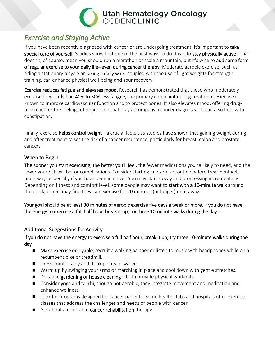

### <span id="page-22-0"></span>*Exercise and Staying Active*

If you have been recently diagnosed with cancer or are undergoing treatment, it's important to take special care of yourself. Studies show that one of the best ways to do this is to stay physically active. That doesn't, of course, mean you should run a marathon or scale a mountain, but it's wise to **add some form** of regular exercise to your daily life--even during cancer therapy. Moderate aerobic exercise, such as riding a stationary bicycle or taking a daily walk, coupled with the use of light weights for strength training, can enhance physical well-being and spur recovery.

Exercise reduces fatigue and elevates mood. Research has demonstrated that those who moderately exercised regularly had 40% to 50% less fatigue, the primary complaint during treatment. Exercise is known to improve cardiovascular function and to protect bones. It also elevates mood, offering drugfree relief for the feelings of depression that may accompany a cancer diagnosis. It can also help with constipation.

Finally, exercise **helps control weight**-- a crucial factor, as studies have shown that gaining weight during and after treatment raises the risk of a cancer recurrence, particularly for breast, colon and prostate cancers.

#### <span id="page-22-1"></span>When to Begin

The sooner you start exercising, the better you'll feel, the fewer medications you're likely to need, and the lower your risk will be for complications. Consider starting an exercise routine before treatment gets underway- especially if you have been inactive. You may start slowly and progressing incrementally. Depending on fitness and comfort level, some people may want to start with a 10-minute walk around the block; others may find they can exercise for 20 minutes (or longer) right away.

Your goal should be at least 30 minutes of aerobic exercise five days a week or more. If you do not have the energy to exercise a full half hour, break it up; try three 10-minute walks during the day.

#### <span id="page-22-2"></span>Additional Suggestions for Activity

If you do not have the energy to exercise a full half hour, break it up; try three 10-minute walks during the day.

- Make exercise enjoyable; recruit a walking partner or listen to music with headphones while on a recumbent bike or treadmill.
- Dress comfortably and drink plenty of water.
- Warm up by swinging your arms or marching in place and cool down with gentle stretches.
- $\Box$  Do some gardening or house cleaning  $-\text{both}$  provide physical workouts.
- **Consider yoga and tai chi**; though not aerobic, they integrate movement and meditation and enhance wellness.
- Look for programs designed for cancer patients. Some health clubs and hospitals offer exercise classes that address the challenges and needs of people with cancer.
- Ask about a referral to **cancer rehabilitation** therapy.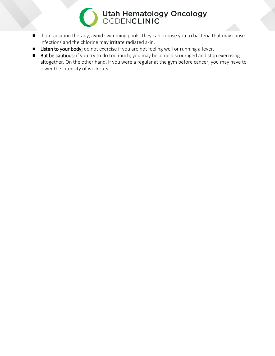- If on radiation therapy, avoid swimming pools; they can expose you to bacteria that may cause infections and the chlorine may irritate radiated skin.
- **E** Listen to your body; do not exercise if you are not feeling well or running a fever.
- **But be cautious:** if you try to do too much, you may become discouraged and stop exercising altogether. On the other hand, if you were a regular at the gym before cancer, you may have to lower the intensity of workouts.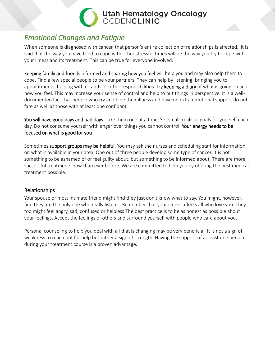### <span id="page-24-0"></span>*Emotional Changes and Fatigue*

When someone is diagnosed with cancer, that person's entire collection of relationships is affected. It is said that the way you have tried to cope with other stressful times will be the way you try to cope with your illness and its treatment. This can be true for everyone involved.

Keeping family and friends informed and sharing how you feel will help you and may also help them to cope. Find a few special people to be your partners. They can help by listening, bringing you to appointments, helping with errands or other responsibilities. Try keeping a diary of what is going on and how you feel. This may increase your sense of control and help to put things in perspective. It is a welldocumented fact that people who try and hide their illness and have no extra emotional support do not fare as well as those with at least one confidant.

You will have good days and bad days. Take them one at a time. Set small, realistic goals for yourself each day. Do not consume yourself with anger over things you cannot control. Your energy needs to be focused on what is good for you.

Sometimes support groups may be helpful. You may ask the nurses and scheduling staff for information on what is available in your area. One out of three people develop some type of cancer. It is not something to be ashamed of or feel guilty about, but something to be informed about. There are more successful treatments now than ever before. We are committed to help you by offering the best medical treatment possible.

#### <span id="page-24-1"></span>Relationships

Your spouse or most intimate friend might find they just don't know what to say. You might, however, find they are the only one who really listens. Remember that your illness affects all who love you. They too might feel angry, sad, confused or helpless The best practice is to be as honest as possible about your feelings. Accept the feelings of others and surround yourself with people who care about you.

Personal counseling to help you deal with all that is changing may be very beneficial. It is not a sign of weakness to reach out for help but rather a sign of strength. Having the support of at least one person during your treatment course is a proven advantage.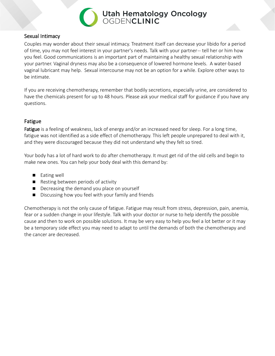

#### <span id="page-25-0"></span>Sexual Intimacy

Couples may wonder about their sexual intimacy. Treatment itself can decrease your libido for a period of time, you may not feel interest in your partner's needs. Talk with your partner -- tell her or him how you feel. Good communications is an important part of maintaining a healthy sexual relationship with your partner. Vaginal dryness may also be a consequence of lowered hormone levels. A water-based vaginal lubricant may help. Sexual intercourse may not be an option for a while. Explore other ways to be intimate.

If you are receiving chemotherapy, remember that bodily secretions, especially urine, are considered to have the chemicals present for up to 48 hours. Please ask your medical staff for guidance if you have any questions.

#### <span id="page-25-1"></span>Fatigue

Fatigue is a feeling of weakness, lack of energy and/or an increased need for sleep. For a long time, fatigue was not identified as a side effect of chemotherapy. This left people unprepared to deal with it, and they were discouraged because they did not understand why they felt so tired.

Your body has a lot of hard work to do after chemotherapy. It must get rid of the old cells and begin to make new ones. You can help your body deal with this demand by:

- Eating well
- Resting between periods of activity
- Decreasing the demand you place on yourself
- Discussing how you feel with your family and friends

Chemotherapy is not the only cause of fatigue. Fatigue may result from stress, depression, pain, anemia, fear or a sudden change in your lifestyle. Talk with your doctor or nurse to help identify the possible cause and then to work on possible solutions. It may be very easy to help you feel a lot better or it may be a temporary side effect you may need to adapt to until the demands of both the chemotherapy and the cancer are decreased.